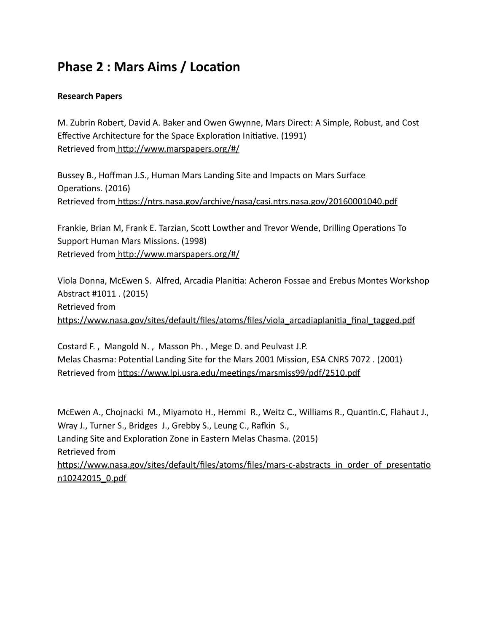## **Phase 2 : Mars Aims / Location**

## **Research Papers**

M. Zubrin Robert, David A. Baker and Owen Gwynne, Mars Direct: A Simple, Robust, and Cost Effective Architecture for the Space Exploration Initiative. (1991) Retrieved from http://www.marspapers.org/#/

Bussey B., Hoffman J.S., Human Mars Landing Site and Impacts on Mars Surface Operations. (2016) Retrieved from https://ntrs.nasa.gov/archive/nasa/casi.ntrs.nasa.gov/20160001040.pdf

Frankie, Brian M, Frank E. Tarzian, Scott Lowther and Trevor Wende, Drilling Operations To Support Human Mars Missions. (1998) Retrieved from http://www.marspapers.org/#/

Viola Donna, McEwen S. Alfred, Arcadia Planitia: Acheron Fossae and Erebus Montes Workshop Abstract #1011 . (2015) Retrieved from https://www.nasa.gov/sites/default/files/atoms/files/viola\_arcadiaplanitia\_final\_tagged.pdf

Costard F. , Mangold N. , Masson Ph. , Mege D. and Peulvast J.P. Melas Chasma: Potential Landing Site for the Mars 2001 Mission, ESA CNRS 7072. (2001) Retrieved from https://www.lpi.usra.edu/meetings/marsmiss99/pdf/2510.pdf

McEwen A., Chojnacki M., Miyamoto H., Hemmi R., Weitz C., Williams R., Quantin.C, Flahaut J., Wray J., Turner S., Bridges J., Grebby S., Leung C., Rafkin S., Landing Site and Exploration Zone in Eastern Melas Chasma. (2015) Retrieved from https://www.nasa.gov/sites/default/files/atoms/files/mars-c-abstracts\_in\_order\_of\_presentatio [n10242015\\_0.pdf](https://www.nasa.gov/sites/default/files/atoms/files/mars-c-abstracts_in_order_of_presentation10242015_0.pdf)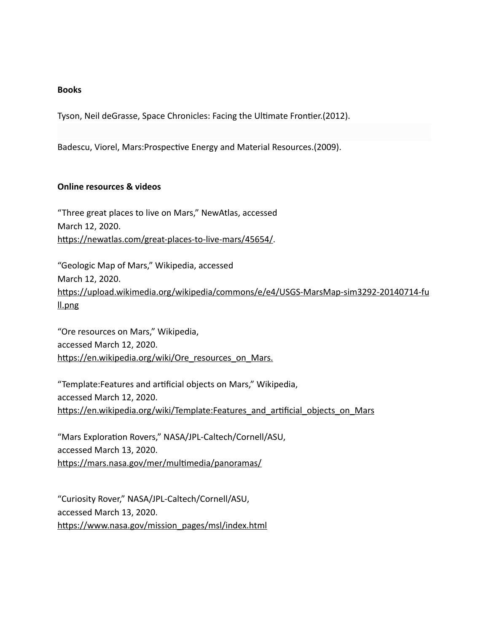## **Books**

Tyson, Neil deGrasse, Space Chronicles: Facing the Ultimate Frontier.(2012).

Badescu, Viorel, Mars: Prospective Energy and Material Resources. (2009).

## **Online resources & videos**

"Three great places to live on Mars," NewAtlas, accessed March 12, 2020. https://newatlas.com/great-places-to-live-mars/45654/.

"Geologic Map of Mars," Wikipedia, accessed March 12, 2020. https://upload.wikimedia.org/wikipedia/commons/e/e4/USGS-MarsMap-sim3292-20140714-fu ll.png

"Ore resources on Mars," Wikipedia, accessed March 12, 2020. https://en.wikipedia.org/wiki/Ore\_resources\_on\_Mars.

"Template:Features and arficial objects on Mars," Wikipedia, accessed March 12, 2020. https://en.wikipedia.org/wiki/Template:Features\_and\_artificial\_objects\_on\_Mars

"Mars Exploration Rovers," NASA/JPL-Caltech/Cornell/ASU, accessed March 13, 2020. https://mars.nasa.gov/mer/multimedia/panoramas/

"Curiosity Rover," NASA/JPL-Caltech/Cornell/ASU, accessed March 13, 2020. https://www.nasa.gov/mission\_pages/msl/index.html